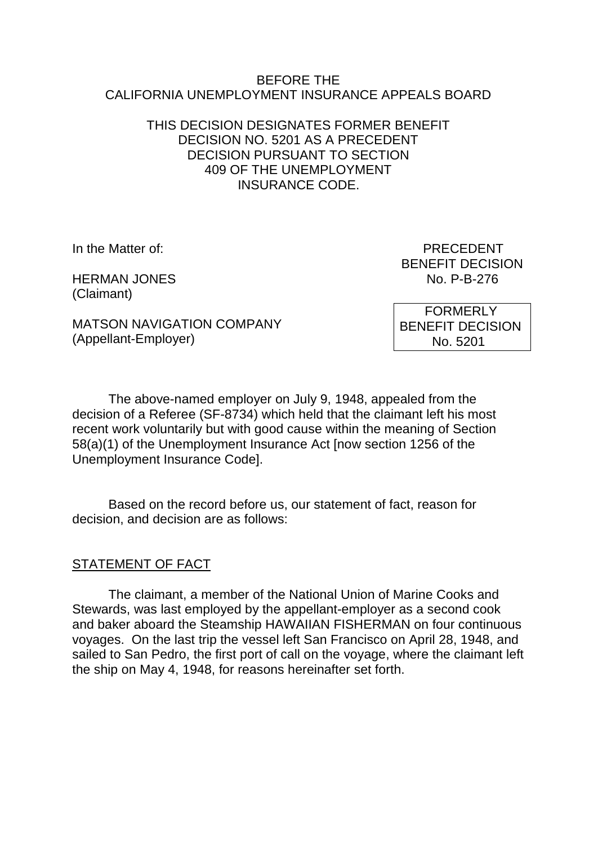#### BEFORE THE CALIFORNIA UNEMPLOYMENT INSURANCE APPEALS BOARD

## THIS DECISION DESIGNATES FORMER BENEFIT DECISION NO. 5201 AS A PRECEDENT DECISION PURSUANT TO SECTION 409 OF THE UNEMPLOYMENT INSURANCE CODE.

HERMAN JONES No. P-B-276 (Claimant)

In the Matter of: **PRECEDENT** BENEFIT DECISION

MATSON NAVIGATION COMPANY (Appellant-Employer)

 FORMERLY BENEFIT DECISION No. 5201

The above-named employer on July 9, 1948, appealed from the decision of a Referee (SF-8734) which held that the claimant left his most recent work voluntarily but with good cause within the meaning of Section 58(a)(1) of the Unemployment Insurance Act [now section 1256 of the Unemployment Insurance Code].

Based on the record before us, our statement of fact, reason for decision, and decision are as follows:

#### STATEMENT OF FACT

The claimant, a member of the National Union of Marine Cooks and Stewards, was last employed by the appellant-employer as a second cook and baker aboard the Steamship HAWAIIAN FISHERMAN on four continuous voyages. On the last trip the vessel left San Francisco on April 28, 1948, and sailed to San Pedro, the first port of call on the voyage, where the claimant left the ship on May 4, 1948, for reasons hereinafter set forth.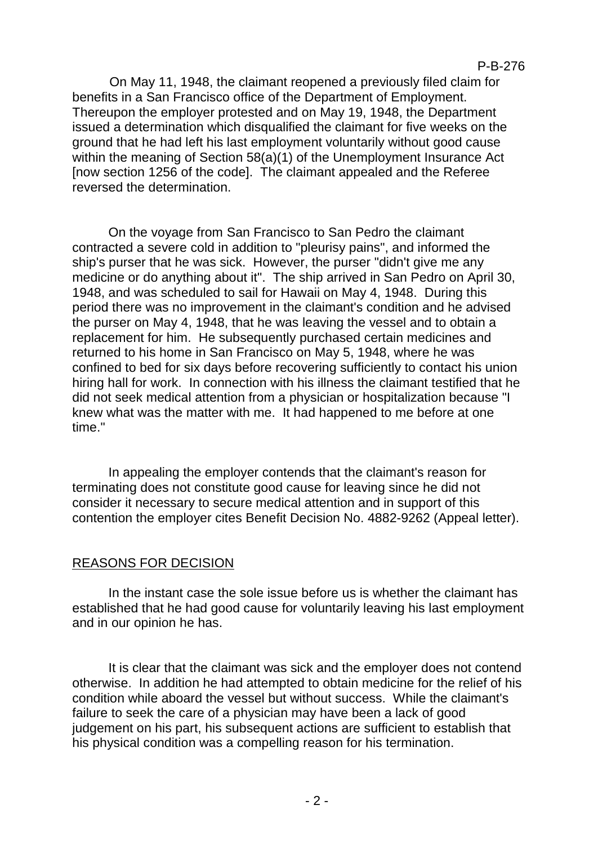On May 11, 1948, the claimant reopened a previously filed claim for benefits in a San Francisco office of the Department of Employment. Thereupon the employer protested and on May 19, 1948, the Department issued a determination which disqualified the claimant for five weeks on the ground that he had left his last employment voluntarily without good cause within the meaning of Section 58(a)(1) of the Unemployment Insurance Act [now section 1256 of the code]. The claimant appealed and the Referee reversed the determination.

On the voyage from San Francisco to San Pedro the claimant contracted a severe cold in addition to "pleurisy pains", and informed the ship's purser that he was sick. However, the purser "didn't give me any medicine or do anything about it". The ship arrived in San Pedro on April 30, 1948, and was scheduled to sail for Hawaii on May 4, 1948. During this period there was no improvement in the claimant's condition and he advised the purser on May 4, 1948, that he was leaving the vessel and to obtain a replacement for him. He subsequently purchased certain medicines and returned to his home in San Francisco on May 5, 1948, where he was confined to bed for six days before recovering sufficiently to contact his union hiring hall for work. In connection with his illness the claimant testified that he did not seek medical attention from a physician or hospitalization because "I knew what was the matter with me. It had happened to me before at one time."

In appealing the employer contends that the claimant's reason for terminating does not constitute good cause for leaving since he did not consider it necessary to secure medical attention and in support of this contention the employer cites Benefit Decision No. 4882-9262 (Appeal letter).

# REASONS FOR DECISION

In the instant case the sole issue before us is whether the claimant has established that he had good cause for voluntarily leaving his last employment and in our opinion he has.

It is clear that the claimant was sick and the employer does not contend otherwise. In addition he had attempted to obtain medicine for the relief of his condition while aboard the vessel but without success. While the claimant's failure to seek the care of a physician may have been a lack of good judgement on his part, his subsequent actions are sufficient to establish that his physical condition was a compelling reason for his termination.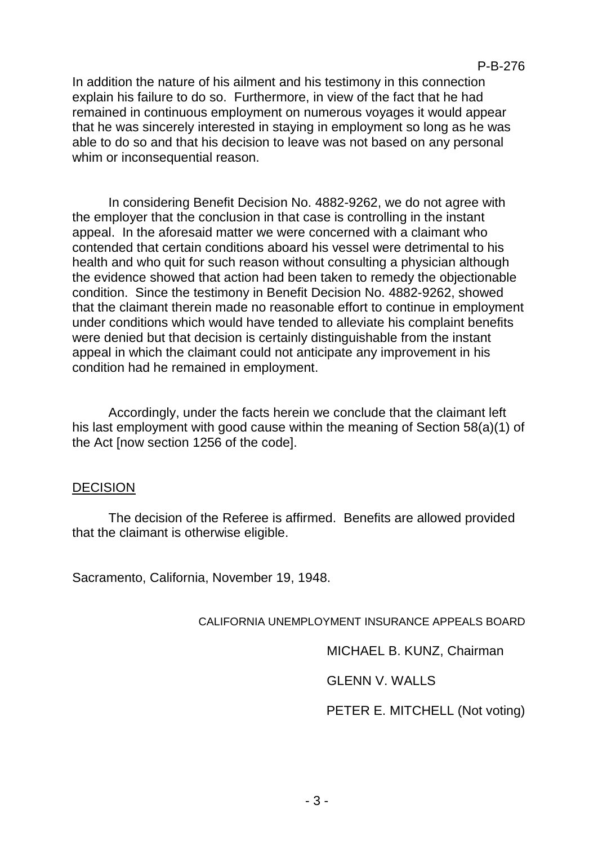In addition the nature of his ailment and his testimony in this connection explain his failure to do so. Furthermore, in view of the fact that he had remained in continuous employment on numerous voyages it would appear that he was sincerely interested in staying in employment so long as he was able to do so and that his decision to leave was not based on any personal whim or inconsequential reason.

In considering Benefit Decision No. 4882-9262, we do not agree with the employer that the conclusion in that case is controlling in the instant appeal. In the aforesaid matter we were concerned with a claimant who contended that certain conditions aboard his vessel were detrimental to his health and who quit for such reason without consulting a physician although the evidence showed that action had been taken to remedy the objectionable condition. Since the testimony in Benefit Decision No. 4882-9262, showed that the claimant therein made no reasonable effort to continue in employment under conditions which would have tended to alleviate his complaint benefits were denied but that decision is certainly distinguishable from the instant appeal in which the claimant could not anticipate any improvement in his condition had he remained in employment.

Accordingly, under the facts herein we conclude that the claimant left his last employment with good cause within the meaning of Section 58(a)(1) of the Act [now section 1256 of the code].

#### DECISION

The decision of the Referee is affirmed. Benefits are allowed provided that the claimant is otherwise eligible.

Sacramento, California, November 19, 1948.

#### CALIFORNIA UNEMPLOYMENT INSURANCE APPEALS BOARD

MICHAEL B. KUNZ, Chairman

GLENN V. WALLS

PETER E. MITCHELL (Not voting)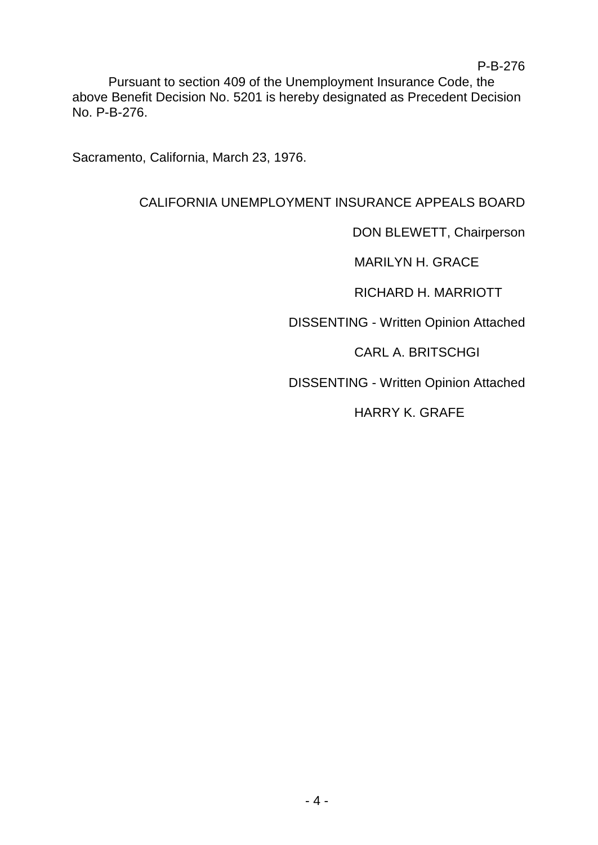Pursuant to section 409 of the Unemployment Insurance Code, the above Benefit Decision No. 5201 is hereby designated as Precedent Decision No. P-B-276.

Sacramento, California, March 23, 1976.

# CALIFORNIA UNEMPLOYMENT INSURANCE APPEALS BOARD

DON BLEWETT, Chairperson

MARILYN H. GRACE

RICHARD H. MARRIOTT

DISSENTING - Written Opinion Attached

CARL A. BRITSCHGI

DISSENTING - Written Opinion Attached

HARRY K. GRAFE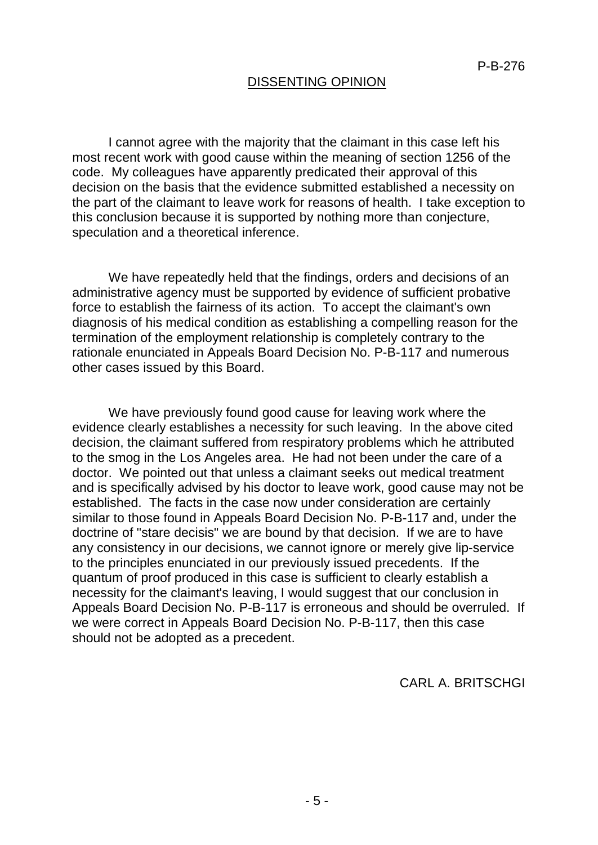## DISSENTING OPINION

I cannot agree with the majority that the claimant in this case left his most recent work with good cause within the meaning of section 1256 of the code. My colleagues have apparently predicated their approval of this decision on the basis that the evidence submitted established a necessity on the part of the claimant to leave work for reasons of health. I take exception to this conclusion because it is supported by nothing more than conjecture, speculation and a theoretical inference.

We have repeatedly held that the findings, orders and decisions of an administrative agency must be supported by evidence of sufficient probative force to establish the fairness of its action. To accept the claimant's own diagnosis of his medical condition as establishing a compelling reason for the termination of the employment relationship is completely contrary to the rationale enunciated in Appeals Board Decision No. P-B-117 and numerous other cases issued by this Board.

We have previously found good cause for leaving work where the evidence clearly establishes a necessity for such leaving. In the above cited decision, the claimant suffered from respiratory problems which he attributed to the smog in the Los Angeles area. He had not been under the care of a doctor. We pointed out that unless a claimant seeks out medical treatment and is specifically advised by his doctor to leave work, good cause may not be established. The facts in the case now under consideration are certainly similar to those found in Appeals Board Decision No. P-B-117 and, under the doctrine of "stare decisis" we are bound by that decision. If we are to have any consistency in our decisions, we cannot ignore or merely give lip-service to the principles enunciated in our previously issued precedents. If the quantum of proof produced in this case is sufficient to clearly establish a necessity for the claimant's leaving, I would suggest that our conclusion in Appeals Board Decision No. P-B-117 is erroneous and should be overruled. If we were correct in Appeals Board Decision No. P-B-117, then this case should not be adopted as a precedent.

CARL A. BRITSCHGI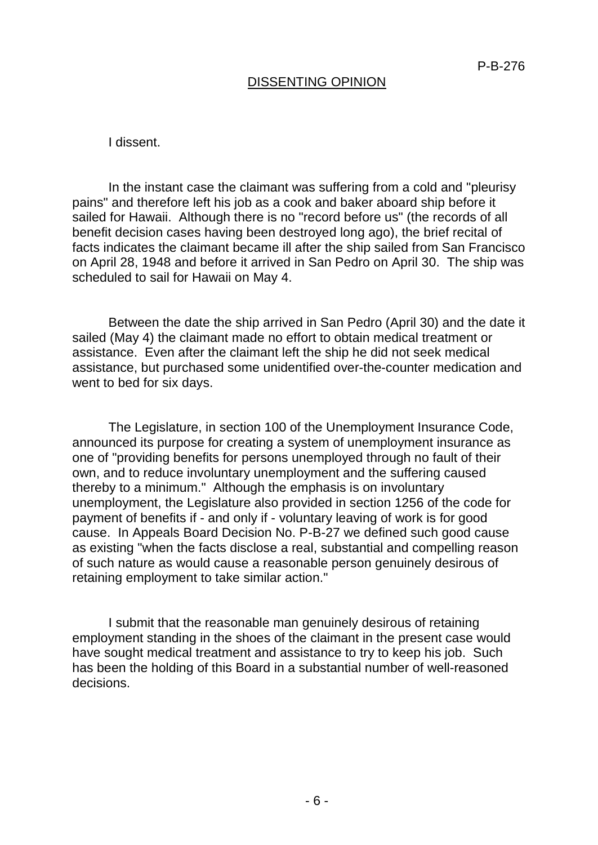#### DISSENTING OPINION

I dissent.

In the instant case the claimant was suffering from a cold and "pleurisy pains" and therefore left his job as a cook and baker aboard ship before it sailed for Hawaii. Although there is no "record before us" (the records of all benefit decision cases having been destroyed long ago), the brief recital of facts indicates the claimant became ill after the ship sailed from San Francisco on April 28, 1948 and before it arrived in San Pedro on April 30. The ship was scheduled to sail for Hawaii on May 4.

Between the date the ship arrived in San Pedro (April 30) and the date it sailed (May 4) the claimant made no effort to obtain medical treatment or assistance. Even after the claimant left the ship he did not seek medical assistance, but purchased some unidentified over-the-counter medication and went to bed for six days.

The Legislature, in section 100 of the Unemployment Insurance Code, announced its purpose for creating a system of unemployment insurance as one of "providing benefits for persons unemployed through no fault of their own, and to reduce involuntary unemployment and the suffering caused thereby to a minimum." Although the emphasis is on involuntary unemployment, the Legislature also provided in section 1256 of the code for payment of benefits if - and only if - voluntary leaving of work is for good cause. In Appeals Board Decision No. P-B-27 we defined such good cause as existing "when the facts disclose a real, substantial and compelling reason of such nature as would cause a reasonable person genuinely desirous of retaining employment to take similar action."

I submit that the reasonable man genuinely desirous of retaining employment standing in the shoes of the claimant in the present case would have sought medical treatment and assistance to try to keep his job. Such has been the holding of this Board in a substantial number of well-reasoned decisions.